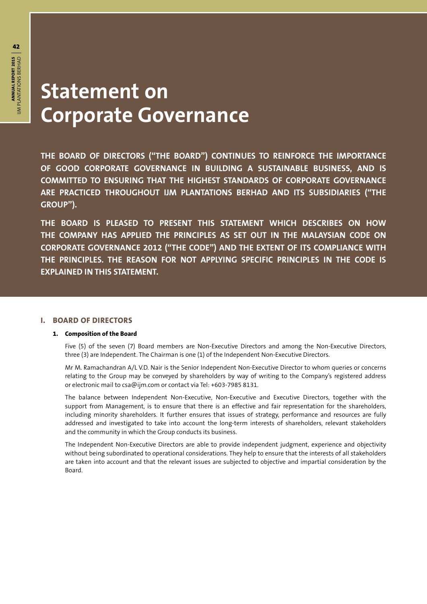## **Statement on Corporate Governance**

**THE BOARD OF DIRECTORS ("THE BOARD") CONTINUES TO REINFORCE THE IMPORTANCE OF GOOD CORPORATE GOVERNANCE IN BUILDING A SUSTAINABLE BUSINESS, AND IS COMMITTED TO ENSURING THAT THE HIGHEST STANDARDS OF CORPORATE GOVERNANCE ARE PRACTICED THROUGHOUT IJM PLANTATIONS BERHAD AND ITS SUBSIDIARIES ("THE GROUP").**

**THE BOARD IS PLEASED TO PRESENT THIS STATEMENT WHICH DESCRIBES ON HOW THE COMPANY HAS APPLIED THE PRINCIPLES AS SET OUT IN THE MALAYSIAN CODE ON CORPORATE GOVERNANCE 2012 ("THE CODE") AND THE EXTENT OF ITS COMPLIANCE WITH THE PRINCIPLES. THE REASON FOR NOT APPLYING SPECIFIC PRINCIPLES IN THE CODE IS EXPLAINED IN THIS STATEMENT.**

#### **I. BOARD OF DIRECTORS**

#### **1. Composition of the Board**

Five (5) of the seven (7) Board members are Non-Executive Directors and among the Non-Executive Directors, three (3) are Independent. The Chairman is one (1) of the Independent Non-Executive Directors.

Mr M. Ramachandran A/L V.D. Nair is the Senior Independent Non-Executive Director to whom queries or concerns relating to the Group may be conveyed by shareholders by way of writing to the Company's registered address or electronic mail to csa@ijm.com or contact via Tel: +603-7985 8131.

The balance between Independent Non-Executive, Non-Executive and Executive Directors, together with the support from Management, is to ensure that there is an effective and fair representation for the shareholders, including minority shareholders. It further ensures that issues of strategy, performance and resources are fully addressed and investigated to take into account the long-term interests of shareholders, relevant stakeholders and the community in which the Group conducts its business.

The Independent Non-Executive Directors are able to provide independent judgment, experience and objectivity without being subordinated to operational considerations. They help to ensure that the interests of all stakeholders are taken into account and that the relevant issues are subjected to objective and impartial consideration by the Board.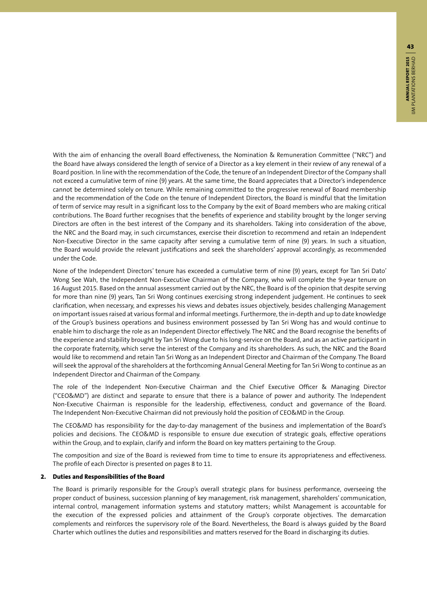With the aim of enhancing the overall Board effectiveness, the Nomination & Remuneration Committee ("NRC") and the Board have always considered the length of service of a Director as a key element in their review of any renewal of a Board position. In line with the recommendation of the Code, the tenure of an Independent Director of the Company shall not exceed a cumulative term of nine (9) years. At the same time, the Board appreciates that a Director's independence cannot be determined solely on tenure. While remaining committed to the progressive renewal of Board membership and the recommendation of the Code on the tenure of Independent Directors, the Board is mindful that the limitation of term of service may result in a significant loss to the Company by the exit of Board members who are making critical contributions. The Board further recognises that the benefits of experience and stability brought by the longer serving Directors are often in the best interest of the Company and its shareholders. Taking into consideration of the above, the NRC and the Board may, in such circumstances, exercise their discretion to recommend and retain an Independent Non-Executive Director in the same capacity after serving a cumulative term of nine (9) years. In such a situation, the Board would provide the relevant justifications and seek the shareholders' approval accordingly, as recommended under the Code.

None of the Independent Directors' tenure has exceeded a cumulative term of nine (9) years, except for Tan Sri Dato' Wong See Wah, the Independent Non-Executive Chairman of the Company, who will complete the 9-year tenure on 16 August 2015. Based on the annual assessment carried out by the NRC, the Board is of the opinion that despite serving for more than nine (9) years, Tan Sri Wong continues exercising strong independent judgement. He continues to seek clarification, when necessary, and expresses his views and debates issues objectively, besides challenging Management on important issues raised at various formal and informal meetings. Furthermore, the in-depth and up to date knowledge of the Group's business operations and business environment possessed by Tan Sri Wong has and would continue to enable him to discharge the role as an Independent Director effectively. The NRC and the Board recognise the benefits of the experience and stability brought by Tan Sri Wong due to his long-service on the Board, and as an active participant in the corporate fraternity, which serve the interest of the Company and its shareholders. As such, the NRC and the Board would like to recommend and retain Tan Sri Wong as an Independent Director and Chairman of the Company. The Board will seek the approval of the shareholders at the forthcoming Annual General Meeting for Tan Sri Wong to continue as an Independent Director and Chairman of the Company.

The role of the Independent Non-Executive Chairman and the Chief Executive Officer & Managing Director ("CEO&MD") are distinct and separate to ensure that there is a balance of power and authority. The Independent Non-Executive Chairman is responsible for the leadership, effectiveness, conduct and governance of the Board. The Independent Non-Executive Chairman did not previously hold the position of CEO&MD in the Group.

The CEO&MD has responsibility for the day-to-day management of the business and implementation of the Board's policies and decisions. The CEO&MD is responsible to ensure due execution of strategic goals, effective operations within the Group, and to explain, clarify and inform the Board on key matters pertaining to the Group.

The composition and size of the Board is reviewed from time to time to ensure its appropriateness and effectiveness. The profile of each Director is presented on pages 8 to 11.

#### **2. Duties and Responsibilities of the Board**

The Board is primarily responsible for the Group's overall strategic plans for business performance, overseeing the proper conduct of business, succession planning of key management, risk management, shareholders' communication, internal control, management information systems and statutory matters; whilst Management is accountable for the execution of the expressed policies and attainment of the Group's corporate objectives. The demarcation complements and reinforces the supervisory role of the Board. Nevertheless, the Board is always guided by the Board Charter which outlines the duties and responsibilities and matters reserved for the Board in discharging its duties.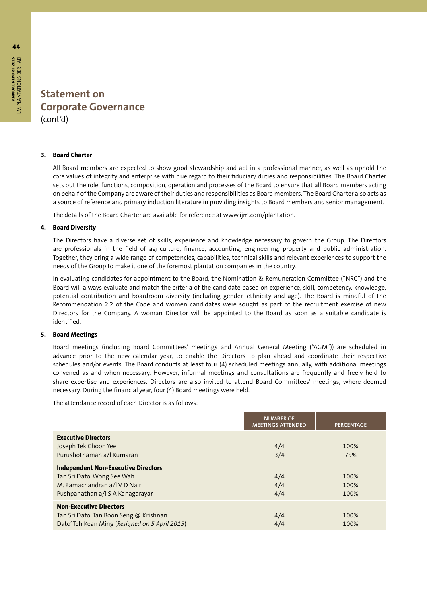#### **3. Board Charter**

All Board members are expected to show good stewardship and act in a professional manner, as well as uphold the core values of integrity and enterprise with due regard to their fiduciary duties and responsibilities. The Board Charter sets out the role, functions, composition, operation and processes of the Board to ensure that all Board members acting on behalf of the Company are aware of their duties and responsibilities as Board members. The Board Charter also acts as a source of reference and primary induction literature in providing insights to Board members and senior management.

The details of the Board Charter are available for reference at www.ijm.com/plantation.

#### **4. Board Diversity**

The Directors have a diverse set of skills, experience and knowledge necessary to govern the Group. The Directors are professionals in the field of agriculture, finance, accounting, engineering, property and public administration. Together, they bring a wide range of competencies, capabilities, technical skills and relevant experiences to support the needs of the Group to make it one of the foremost plantation companies in the country.

In evaluating candidates for appointment to the Board, the Nomination & Remuneration Committee ("NRC") and the Board will always evaluate and match the criteria of the candidate based on experience, skill, competency, knowledge, potential contribution and boardroom diversity (including gender, ethnicity and age). The Board is mindful of the Recommendation 2.2 of the Code and women candidates were sought as part of the recruitment exercise of new Directors for the Company. A woman Director will be appointed to the Board as soon as a suitable candidate is identified.

#### **5. Board Meetings**

Board meetings (including Board Committees' meetings and Annual General Meeting ("AGM")) are scheduled in advance prior to the new calendar year, to enable the Directors to plan ahead and coordinate their respective schedules and/or events. The Board conducts at least four (4) scheduled meetings annually, with additional meetings convened as and when necessary. However, informal meetings and consultations are frequently and freely held to share expertise and experiences. Directors are also invited to attend Board Committees' meetings, where deemed necessary. During the financial year, four (4) Board meetings were held.

The attendance record of each Director is as follows:

|                                                                                                                                              | <b>NUMBER OF</b><br><b>MEETINGS ATTENDED</b> | <b>PERCENTAGE</b>    |
|----------------------------------------------------------------------------------------------------------------------------------------------|----------------------------------------------|----------------------|
| <b>Executive Directors</b><br>Joseph Tek Choon Yee<br>Purushothaman a/l Kumaran                                                              | 4/4<br>3/4                                   | 100%<br>75%          |
| <b>Independent Non-Executive Directors</b><br>Tan Sri Dato' Wong See Wah<br>M. Ramachandran a/l V D Nair<br>Pushpanathan a/l S A Kanagarayar | 4/4<br>4/4<br>4/4                            | 100%<br>100%<br>100% |
| <b>Non-Executive Directors</b><br>Tan Sri Dato' Tan Boon Seng @ Krishnan<br>Dato' Teh Kean Ming (Resigned on 5 April 2015)                   | 4/4<br>4/4                                   | 100%<br>100%         |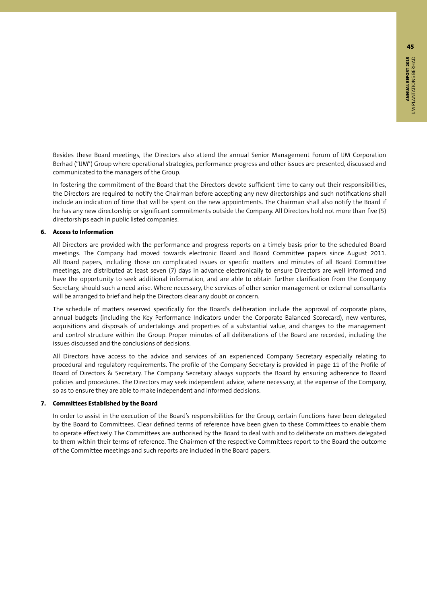Besides these Board meetings, the Directors also attend the annual Senior Management Forum of IJM Corporation Berhad ("IJM") Group where operational strategies, performance progress and other issues are presented, discussed and communicated to the managers of the Group.

In fostering the commitment of the Board that the Directors devote sufficient time to carry out their responsibilities, the Directors are required to notify the Chairman before accepting any new directorships and such notifications shall include an indication of time that will be spent on the new appointments. The Chairman shall also notify the Board if he has any new directorship or significant commitments outside the Company. All Directors hold not more than five (5) directorships each in public listed companies.

#### **6. Access to Information**

All Directors are provided with the performance and progress reports on a timely basis prior to the scheduled Board meetings. The Company had moved towards electronic Board and Board Committee papers since August 2011. All Board papers, including those on complicated issues or specific matters and minutes of all Board Committee meetings, are distributed at least seven (7) days in advance electronically to ensure Directors are well informed and have the opportunity to seek additional information, and are able to obtain further clarification from the Company Secretary, should such a need arise. Where necessary, the services of other senior management or external consultants will be arranged to brief and help the Directors clear any doubt or concern.

The schedule of matters reserved specifically for the Board's deliberation include the approval of corporate plans, annual budgets (including the Key Performance Indicators under the Corporate Balanced Scorecard), new ventures, acquisitions and disposals of undertakings and properties of a substantial value, and changes to the management and control structure within the Group. Proper minutes of all deliberations of the Board are recorded, including the issues discussed and the conclusions of decisions.

All Directors have access to the advice and services of an experienced Company Secretary especially relating to procedural and regulatory requirements. The profile of the Company Secretary is provided in page 11 of the Profile of Board of Directors & Secretary. The Company Secretary always supports the Board by ensuring adherence to Board policies and procedures. The Directors may seek independent advice, where necessary, at the expense of the Company, so as to ensure they are able to make independent and informed decisions.

#### **7. Committees Established by the Board**

In order to assist in the execution of the Board's responsibilities for the Group, certain functions have been delegated by the Board to Committees. Clear defined terms of reference have been given to these Committees to enable them to operate effectively. The Committees are authorised by the Board to deal with and to deliberate on matters delegated to them within their terms of reference. The Chairmen of the respective Committees report to the Board the outcome of the Committee meetings and such reports are included in the Board papers.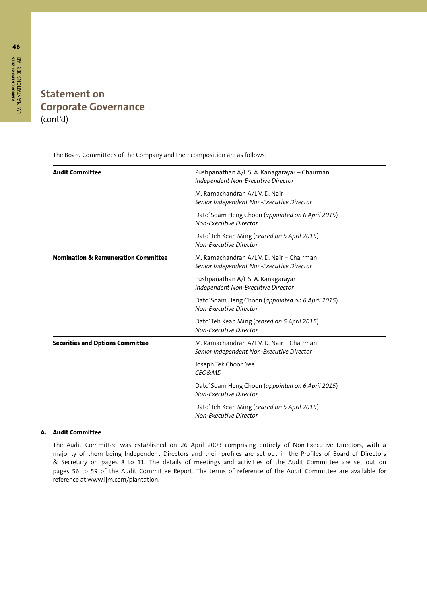# **ANNUAL REPORT 2015** IJM PLANTATIONS BERHAD **ANNUAL REPORT 2015 | A**<br>UM PLANTATIONS BERHAD

## **Statement on Corporate Governance** (cont'd)

The Board Committees of the Company and their composition are as follows:

| <b>Audit Committee</b>                         | Pushpanathan A/L S. A. Kanagarayar - Chairman<br>Independent Non-Executive Director    |  |  |
|------------------------------------------------|----------------------------------------------------------------------------------------|--|--|
|                                                | M. Ramachandran A/L V. D. Nair<br>Senior Independent Non-Executive Director            |  |  |
|                                                | Dato' Soam Heng Choon (appointed on 6 April 2015)<br>Non-Executive Director            |  |  |
|                                                | Dato' Teh Kean Ming (ceased on 5 April 2015)<br>Non-Executive Director                 |  |  |
| <b>Nomination &amp; Remuneration Committee</b> | M. Ramachandran A/L V. D. Nair - Chairman<br>Senior Independent Non-Executive Director |  |  |
|                                                | Pushpanathan A/L S. A. Kanagarayar<br>Independent Non-Executive Director               |  |  |
|                                                | Dato' Soam Heng Choon (appointed on 6 April 2015)<br>Non-Executive Director            |  |  |
|                                                | Dato' Teh Kean Ming (ceased on 5 April 2015)<br>Non-Executive Director                 |  |  |
| <b>Securities and Options Committee</b>        | M. Ramachandran A/L V. D. Nair - Chairman<br>Senior Independent Non-Executive Director |  |  |
|                                                | Joseph Tek Choon Yee<br>CEO&MD                                                         |  |  |
|                                                | Dato' Soam Heng Choon (appointed on 6 April 2015)<br>Non-Executive Director            |  |  |
|                                                | Dato' Teh Kean Ming (ceased on 5 April 2015)<br>Non-Executive Director                 |  |  |

#### **A. Audit Committee**

The Audit Committee was established on 26 April 2003 comprising entirely of Non-Executive Directors, with a majority of them being Independent Directors and their profiles are set out in the Profiles of Board of Directors & Secretary on pages 8 to 11. The details of meetings and activities of the Audit Committee are set out on pages 56 to 59 of the Audit Committee Report. The terms of reference of the Audit Committee are available for reference at www.ijm.com/plantation.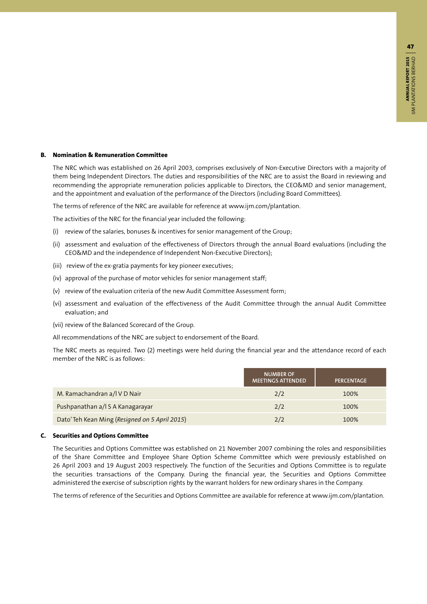#### **B. Nomination & Remuneration Committee**

The NRC which was established on 26 April 2003, comprises exclusively of Non-Executive Directors with a majority of them being Independent Directors. The duties and responsibilities of the NRC are to assist the Board in reviewing and recommending the appropriate remuneration policies applicable to Directors, the CEO&MD and senior management, and the appointment and evaluation of the performance of the Directors (including Board Committees).

The terms of reference of the NRC are available for reference at www.ijm.com/plantation.

The activities of the NRC for the financial year included the following:

- (i) review of the salaries, bonuses & incentives for senior management of the Group;
- (ii) assessment and evaluation of the effectiveness of Directors through the annual Board evaluations (including the CEO&MD and the independence of Independent Non-Executive Directors);
- (iii) review of the ex-gratia payments for key pioneer executives;
- (iv) approval of the purchase of motor vehicles for senior management staff;
- (v) review of the evaluation criteria of the new Audit Committee Assessment form;
- (vi) assessment and evaluation of the effectiveness of the Audit Committee through the annual Audit Committee evaluation; and
- (vii) review of the Balanced Scorecard of the Group.
- All recommendations of the NRC are subject to endorsement of the Board.

The NRC meets as required. Two (2) meetings were held during the financial year and the attendance record of each member of the NRC is as follows:

|                                                | <b>NUMBER OF</b><br><b>MEETINGS ATTENDED</b> | PERCENTAGE |
|------------------------------------------------|----------------------------------------------|------------|
| M. Ramachandran a/l V D Nair                   | 2/2                                          | 100%       |
| Pushpanathan a/l S A Kanagarayar               | 2/2                                          | 100%       |
| Dato' Teh Kean Ming (Resigned on 5 April 2015) | 2/2                                          | 100%       |

#### **C. Securities and Options Committee**

The Securities and Options Committee was established on 21 November 2007 combining the roles and responsibilities of the Share Committee and Employee Share Option Scheme Committee which were previously established on 26 April 2003 and 19 August 2003 respectively. The function of the Securities and Options Committee is to regulate the securities transactions of the Company. During the financial year, the Securities and Options Committee administered the exercise of subscription rights by the warrant holders for new ordinary shares in the Company.

The terms of reference of the Securities and Options Committee are available for reference at www.ijm.com/plantation.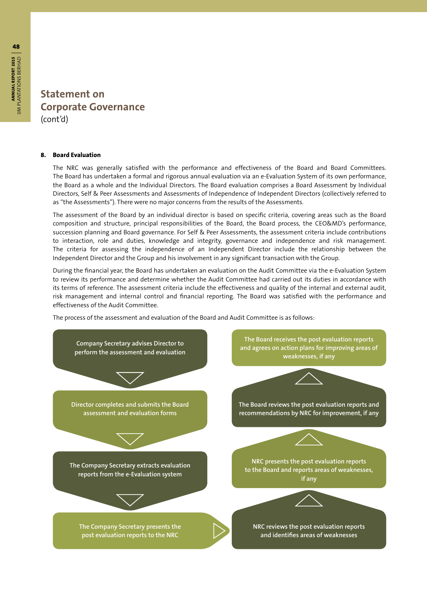#### **8. Board Evaluation**

The NRC was generally satisfied with the performance and effectiveness of the Board and Board Committees. The Board has undertaken a formal and rigorous annual evaluation via an e-Evaluation System of its own performance, the Board as a whole and the Individual Directors. The Board evaluation comprises a Board Assessment by Individual Directors, Self & Peer Assessments and Assessments of Independence of Independent Directors (collectively referred to as "the Assessments"). There were no major concerns from the results of the Assessments.

The assessment of the Board by an individual director is based on specific criteria, covering areas such as the Board composition and structure, principal responsibilities of the Board, the Board process, the CEO&MD's performance, succession planning and Board governance. For Self & Peer Assessments, the assessment criteria include contributions to interaction, role and duties, knowledge and integrity, governance and independence and risk management. The criteria for assessing the independence of an Independent Director include the relationship between the Independent Director and the Group and his involvement in any significant transaction with the Group.

During the financial year, the Board has undertaken an evaluation on the Audit Committee via the e-Evaluation System to review its performance and determine whether the Audit Committee had carried out its duties in accordance with its terms of reference. The assessment criteria include the effectiveness and quality of the internal and external audit, risk management and internal control and financial reporting. The Board was satisfied with the performance and effectiveness of the Audit Committee.

The process of the assessment and evaluation of the Board and Audit Committee is as follows:

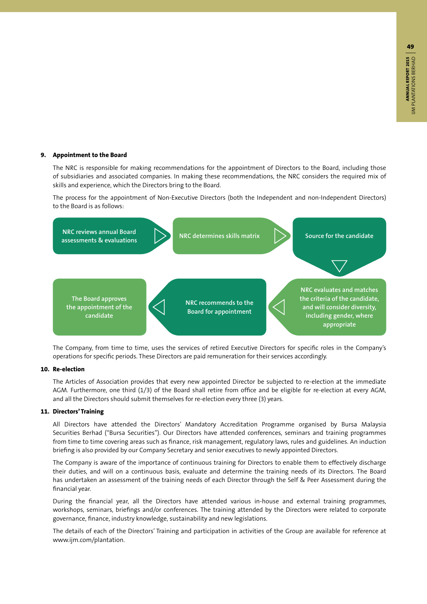#### **9. Appointment to the Board**

The NRC is responsible for making recommendations for the appointment of Directors to the Board, including those of subsidiaries and associated companies. In making these recommendations, the NRC considers the required mix of skills and experience, which the Directors bring to the Board.

The process for the appointment of Non-Executive Directors (both the Independent and non-Independent Directors) to the Board is as follows:



The Company, from time to time, uses the services of retired Executive Directors for specific roles in the Company's operations for specific periods. These Directors are paid remuneration for their services accordingly.

#### **10. Re-election**

The Articles of Association provides that every new appointed Director be subjected to re-election at the immediate AGM. Furthermore, one third (1/3) of the Board shall retire from office and be eligible for re-election at every AGM, and all the Directors should submit themselves for re-election every three (3) years.

#### **11. Directors' Training**

All Directors have attended the Directors' Mandatory Accreditation Programme organised by Bursa Malaysia Securities Berhad ("Bursa Securities"). Our Directors have attended conferences, seminars and training programmes from time to time covering areas such as finance, risk management, regulatory laws, rules and guidelines. An induction briefing is also provided by our Company Secretary and senior executives to newly appointed Directors.

The Company is aware of the importance of continuous training for Directors to enable them to effectively discharge their duties, and will on a continuous basis, evaluate and determine the training needs of its Directors. The Board has undertaken an assessment of the training needs of each Director through the Self & Peer Assessment during the financial year.

During the financial year, all the Directors have attended various in-house and external training programmes, workshops, seminars, briefings and/or conferences. The training attended by the Directors were related to corporate governance, finance, industry knowledge, sustainability and new legislations.

The details of each of the Directors' Training and participation in activities of the Group are available for reference at www.ijm.com/plantation.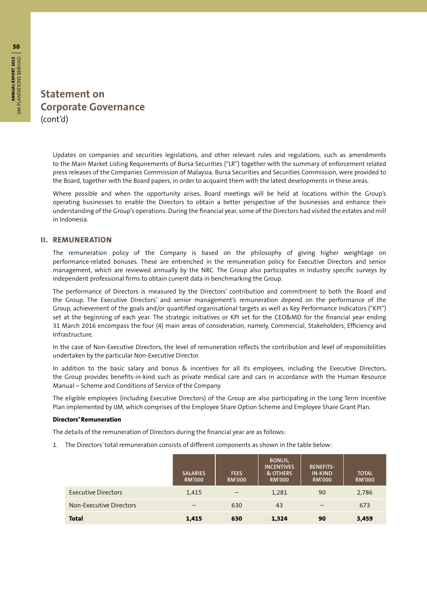Updates on companies and securities legislations, and other relevant rules and regulations, such as amendments to the Main Market Listing Requirements of Bursa Securities ("LR") together with the summary of enforcement related press releases of the Companies Commission of Malaysia, Bursa Securities and Securities Commission, were provided to the Board, together with the Board papers, in order to acquaint them with the latest developments in these areas.

Where possible and when the opportunity arises, Board meetings will be held at locations within the Group's operating businesses to enable the Directors to obtain a better perspective of the businesses and enhance their understanding of the Group's operations. During the financial year, some of the Directors had visited the estates and mill in Indonesia.

#### **II. REMUNERATION**

The remuneration policy of the Company is based on the philosophy of giving higher weightage on performance-related bonuses. These are entrenched in the remuneration policy for Executive Directors and senior management, which are reviewed annually by the NRC. The Group also participates in industry specific surveys by independent professional firms to obtain current data in benchmarking the Group.

The performance of Directors is measured by the Directors' contribution and commitment to both the Board and the Group. The Executive Directors' and senior management's remuneration depend on the performance of the Group, achievement of the goals and/or quantified organisational targets as well as Key Performance Indicators ("KPI") set at the beginning of each year. The strategic initiatives or KPI set for the CEO&MD for the financial year ending 31 March 2016 encompass the four (4) main areas of consideration, namely, Commercial, Stakeholders, Efficiency and Infrastructure.

In the case of Non-Executive Directors, the level of remuneration reflects the contribution and level of responsibilities undertaken by the particular Non-Executive Director.

In addition to the basic salary and bonus & incentives for all its employees, including the Executive Directors, the Group provides benefits-in-kind such as private medical care and cars in accordance with the Human Resource Manual – Scheme and Conditions of Service of the Company.

The eligible employees (including Executive Directors) of the Group are also participating in the Long Term Incentive Plan implemented by IJM, which comprises of the Employee Share Option Scheme and Employee Share Grant Plan.

#### **Directors' Remuneration**

The details of the remuneration of Directors during the financial year are as follows:

1. The Directors' total remuneration consists of different components as shown in the table below:

|                            | <b>SALARIES</b><br><b>RM'000</b> | <b>FEES</b><br><b>RM'000</b> | BONUS,<br><b>INCENTIVES</b><br>& OTHERS<br><b>RM'000</b> | <b>BENEFITS-</b><br><b>IN-KIND</b><br><b>RM'000</b> | <b>TOTAL</b><br><b>RM'000</b> |
|----------------------------|----------------------------------|------------------------------|----------------------------------------------------------|-----------------------------------------------------|-------------------------------|
| <b>Executive Directors</b> | 1,415                            |                              | 1,281                                                    | 90                                                  | 2,786                         |
| Non-Executive Directors    |                                  | 630                          | 43                                                       | $\overline{\phantom{0}}$                            | 673                           |
| <b>Total</b>               | 1,415                            | 630                          | 1,324                                                    | 90                                                  | 3,459                         |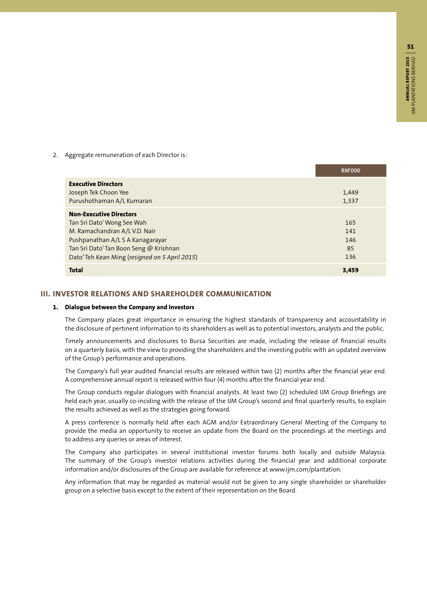2. Aggregate remuneration of each Director is:

|                                                | <b>RM'000</b> |
|------------------------------------------------|---------------|
| <b>Executive Directors</b>                     |               |
| Joseph Tek Choon Yee                           | 1,449         |
| Purushothaman A/L Kumaran                      | 1,337         |
| <b>Non-Executive Directors</b>                 |               |
| Tan Sri Dato' Wong See Wah                     | 165           |
| M. Ramachandran A/L V.D. Nair                  | 141           |
| Pushpanathan A/L S A Kanagarayar               | 146           |
| Tan Sri Dato' Tan Boon Seng @ Krishnan         | 85            |
| Dato' Teh Kean Ming (resigned on 5 April 2015) | 136           |
| <b>Total</b>                                   | 3,459         |

#### **III. INVESTOR RELATIONS AND SHAREHOLDER COMMUNICATION**

#### **1. Dialogue between the Company and Investors**

The Company places great importance in ensuring the highest standards of transparency and accountability in the disclosure of pertinent information to its shareholders as well as to potential investors, analysts and the public.

Timely announcements and disclosures to Bursa Securities are made, including the release of financial results on a quarterly basis, with the view to providing the shareholders and the investing public with an updated overview of the Group's performance and operations.

The Company's full year audited financial results are released within two (2) months after the financial year end. A comprehensive annual report is released within four (4) months after the financial year end.

The Group conducts regular dialogues with financial analysts. At least two (2) scheduled IJM Group Briefings are held each year, usually co-inciding with the release of the IJM Group's second and final quarterly results, to explain the results achieved as well as the strategies going forward.

A press conference is normally held after each AGM and/or Extraordinary General Meeting of the Company to provide the media an opportunity to receive an update from the Board on the proceedings at the meetings and to address any queries or areas of interest.

The Company also participates in several institutional investor forums both locally and outside Malaysia. The summary of the Group's investor relations activities during the financial year and additional corporate information and/or disclosures of the Group are available for reference at www.ijm.com/plantation.

Any information that may be regarded as material would not be given to any single shareholder or shareholder group on a selective basis except to the extent of their representation on the Board.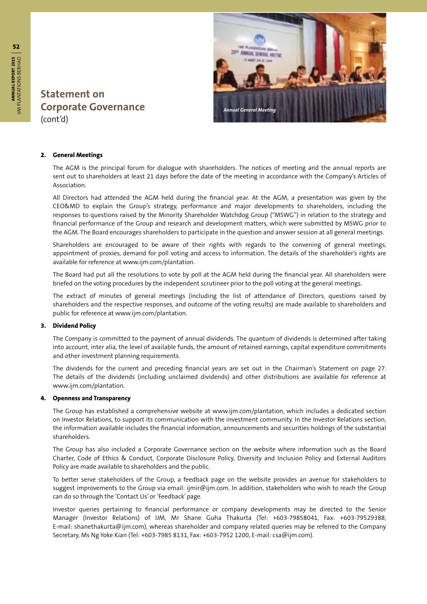

#### **2. General Meetings**

The AGM is the principal forum for dialogue with shareholders. The notices of meeting and the annual reports are sent out to shareholders at least 21 days before the date of the meeting in accordance with the Company's Articles of Association.

All Directors had attended the AGM held during the financial year. At the AGM, a presentation was given by the CEO&MD to explain the Group's strategy, performance and major developments to shareholders, including the responses to questions raised by the Minority Shareholder Watchdog Group ("MSWG") in relation to the strategy and financial performance of the Group and research and development matters, which were submitted by MSWG prior to the AGM. The Board encourages shareholders to participate in the question and answer session at all general meetings.

Shareholders are encouraged to be aware of their rights with regards to the convening of general meetings, appointment of proxies, demand for poll voting and access to information. The details of the shareholder's rights are available for reference at www.ijm.com/plantation.

The Board had put all the resolutions to vote by poll at the AGM held during the financial year. All shareholders were briefed on the voting procedures by the independent scrutineer prior to the poll voting at the general meetings.

The extract of minutes of general meetings (including the list of attendance of Directors, questions raised by shareholders and the respective responses, and outcome of the voting results) are made available to shareholders and public for reference at www.ijm.com/plantation.

#### **3. Dividend Policy**

The Company is committed to the payment of annual dividends. The quantum of dividends is determined after taking into account, inter alia, the level of available funds, the amount of retained earnings, capital expenditure commitments and other investment planning requirements.

The dividends for the current and preceding financial years are set out in the Chairman's Statement on page 27. The details of the dividends (including unclaimed dividends) and other distributions are available for reference at www.ijm.com/plantation.

#### **4. Openness and Transparency**

The Group has established a comprehensive website at www.ijm.com/plantation, which includes a dedicated section on Investor Relations, to support its communication with the investment community. In the Investor Relations section, the information available includes the financial information, announcements and securities holdings of the substantial shareholders.

The Group has also included a Corporate Governance section on the website where information such as the Board Charter, Code of Ethics & Conduct, Corporate Disclosure Policy, Diversity and Inclusion Policy and External Auditors Policy are made available to shareholders and the public.

To better serve stakeholders of the Group, a feedback page on the website provides an avenue for stakeholders to suggest improvements to the Group via email: ijmir@ijm.com. In addition, stakeholders who wish to reach the Group can do so through the 'Contact Us' or 'Feedback' page.

Investor queries pertaining to financial performance or company developments may be directed to the Senior Manager (Investor Relations) of IJM, Mr Shane Guha Thakurta (Tel: +603-79858041, Fax: +603-79529388, E-mail: shanethakurta@ijm.com), whereas shareholder and company related queries may be referred to the Company Secretary, Ms Ng Yoke Kian (Tel: +603-7985 8131, Fax: +603-7952 1200, E-mail: csa@ijm.com).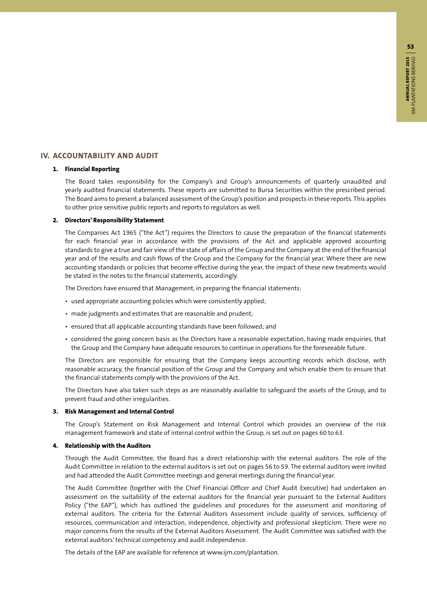#### **IV. ACCOUNTABILITY AND AUDIT**

#### **1. Financial Reporting**

The Board takes responsibility for the Company's and Group's announcements of quarterly unaudited and yearly audited financial statements. These reports are submitted to Bursa Securities within the prescribed period. The Board aims to present a balanced assessment of the Group's position and prospects in these reports. This applies to other price sensitive public reports and reports to regulators as well.

#### **2. Directors' Responsibility Statement**

The Companies Act 1965 ("the Act") requires the Directors to cause the preparation of the financial statements for each financial year in accordance with the provisions of the Act and applicable approved accounting standards to give a true and fair view of the state of affairs of the Group and the Company at the end of the financial year and of the results and cash flows of the Group and the Company for the financial year. Where there are new accounting standards or policies that become effective during the year, the impact of these new treatments would be stated in the notes to the financial statements, accordingly.

The Directors have ensured that Management, in preparing the financial statements:

- used appropriate accounting policies which were consistently applied;
- made judgments and estimates that are reasonable and prudent;
- ensured that all applicable accounting standards have been followed; and
- considered the going concern basis as the Directors have a reasonable expectation, having made enquiries, that the Group and the Company have adequate resources to continue in operations for the foreseeable future.

The Directors are responsible for ensuring that the Company keeps accounting records which disclose, with reasonable accuracy, the financial position of the Group and the Company and which enable them to ensure that the financial statements comply with the provisions of the Act.

The Directors have also taken such steps as are reasonably available to safeguard the assets of the Group, and to prevent fraud and other irregularities.

#### **3. Risk Management and Internal Control**

The Group's Statement on Risk Management and Internal Control which provides an overview of the risk management framework and state of internal control within the Group, is set out on pages 60 to 63.

#### **4. Relationship with the Auditors**

Through the Audit Committee, the Board has a direct relationship with the external auditors. The role of the Audit Committee in relation to the external auditors is set out on pages 56 to 59. The external auditors were invited and had attended the Audit Committee meetings and general meetings during the financial year.

The Audit Committee (together with the Chief Financial Officer and Chief Audit Executive) had undertaken an assessment on the suitability of the external auditors for the financial year pursuant to the External Auditors Policy ("the EAP"), which has outlined the guidelines and procedures for the assessment and monitoring of external auditors. The criteria for the External Auditors Assessment include quality of services, sufficiency of resources, communication and interaction, independence, objectivity and professional skepticism. There were no major concerns from the results of the External Auditors Assessment. The Audit Committee was satisfied with the external auditors' technical competency and audit independence.

The details of the EAP are available for reference at www.ijm.com/plantation.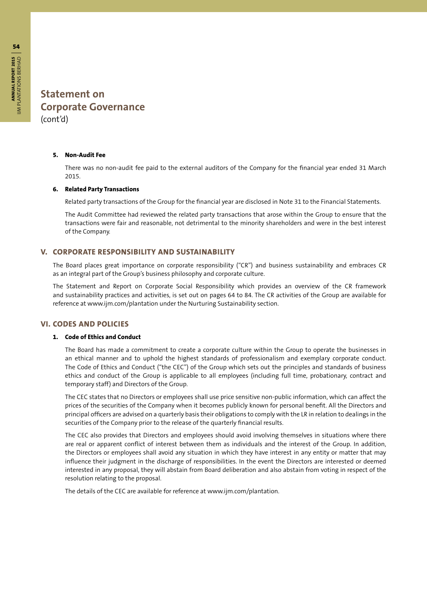#### **5. Non-Audit Fee**

There was no non-audit fee paid to the external auditors of the Company for the financial year ended 31 March 2015.

#### **6. Related Party Transactions**

Related party transactions of the Group for the financial year are disclosed in Note 31 to the Financial Statements.

The Audit Committee had reviewed the related party transactions that arose within the Group to ensure that the transactions were fair and reasonable, not detrimental to the minority shareholders and were in the best interest of the Company.

#### **V. CORPORATE RESPONSIBILITY AND SUSTAINABILITY**

The Board places great importance on corporate responsibility ("CR") and business sustainability and embraces CR as an integral part of the Group's business philosophy and corporate culture.

The Statement and Report on Corporate Social Responsibility which provides an overview of the CR framework and sustainability practices and activities, is set out on pages 64 to 84. The CR activities of the Group are available for reference at www.ijm.com/plantation under the Nurturing Sustainability section.

#### **VI. CODES AND POLICIES**

#### **1. Code of Ethics and Conduct**

The Board has made a commitment to create a corporate culture within the Group to operate the businesses in an ethical manner and to uphold the highest standards of professionalism and exemplary corporate conduct. The Code of Ethics and Conduct ("the CEC") of the Group which sets out the principles and standards of business ethics and conduct of the Group is applicable to all employees (including full time, probationary, contract and temporary staff) and Directors of the Group.

The CEC states that no Directors or employees shall use price sensitive non-public information, which can affect the prices of the securities of the Company when it becomes publicly known for personal benefit. All the Directors and principal officers are advised on a quarterly basis their obligations to comply with the LR in relation to dealings in the securities of the Company prior to the release of the quarterly financial results.

The CEC also provides that Directors and employees should avoid involving themselves in situations where there are real or apparent conflict of interest between them as individuals and the interest of the Group. In addition, the Directors or employees shall avoid any situation in which they have interest in any entity or matter that may influence their judgment in the discharge of responsibilities. In the event the Directors are interested or deemed interested in any proposal, they will abstain from Board deliberation and also abstain from voting in respect of the resolution relating to the proposal.

The details of the CEC are available for reference at www.ijm.com/plantation.